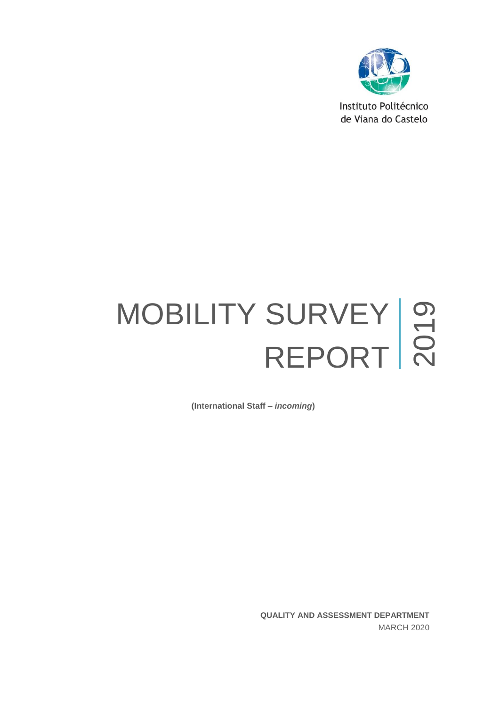

Instituto Politécnico de Viana do Castelo

# MOBILITY SURVEY REPORT | 2  $\bigcirc$

**(International Staff –** *incoming***)**

**QUALITY AND ASSESSMENT DEPARTMENT** MARCH 2020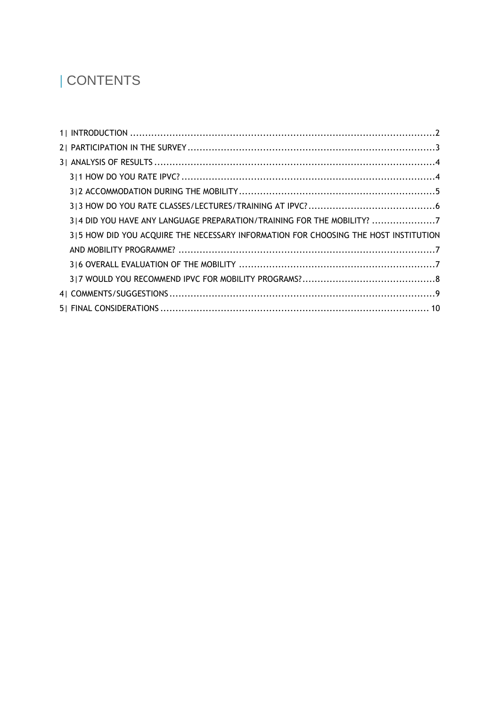# | CONTENTS

| 3 4 DID YOU HAVE ANY LANGUAGE PREPARATION/TRAINING FOR THE MOBILITY? 7              |  |
|-------------------------------------------------------------------------------------|--|
| 315 HOW DID YOU ACQUIRE THE NECESSARY INFORMATION FOR CHOOSING THE HOST INSTITUTION |  |
|                                                                                     |  |
|                                                                                     |  |
|                                                                                     |  |
|                                                                                     |  |
|                                                                                     |  |
|                                                                                     |  |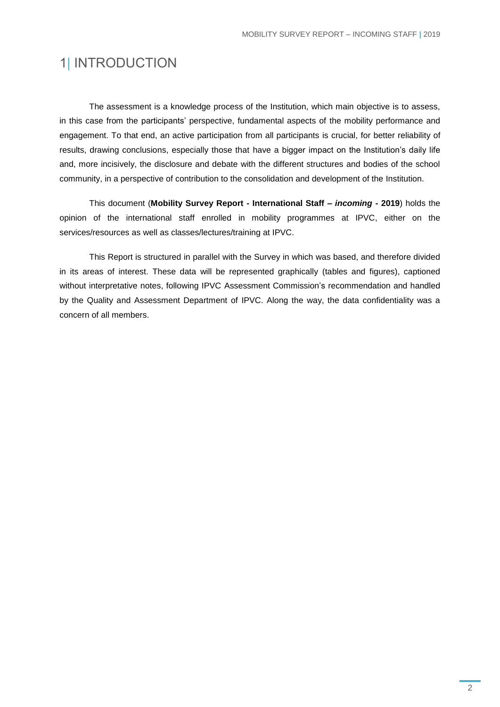### <span id="page-2-0"></span>1| INTRODUCTION

The assessment is a knowledge process of the Institution, which main objective is to assess, in this case from the participants' perspective, fundamental aspects of the mobility performance and engagement. To that end, an active participation from all participants is crucial, for better reliability of results, drawing conclusions, especially those that have a bigger impact on the Institution's daily life and, more incisively, the disclosure and debate with the different structures and bodies of the school community, in a perspective of contribution to the consolidation and development of the Institution.

This document (**Mobility Survey Report - International Staff –** *incoming* **- 2019**) holds the opinion of the international staff enrolled in mobility programmes at IPVC, either on the services/resources as well as classes/lectures/training at IPVC.

This Report is structured in parallel with the Survey in which was based, and therefore divided in its areas of interest. These data will be represented graphically (tables and figures), captioned without interpretative notes, following IPVC Assessment Commission's recommendation and handled by the Quality and Assessment Department of IPVC. Along the way, the data confidentiality was a concern of all members.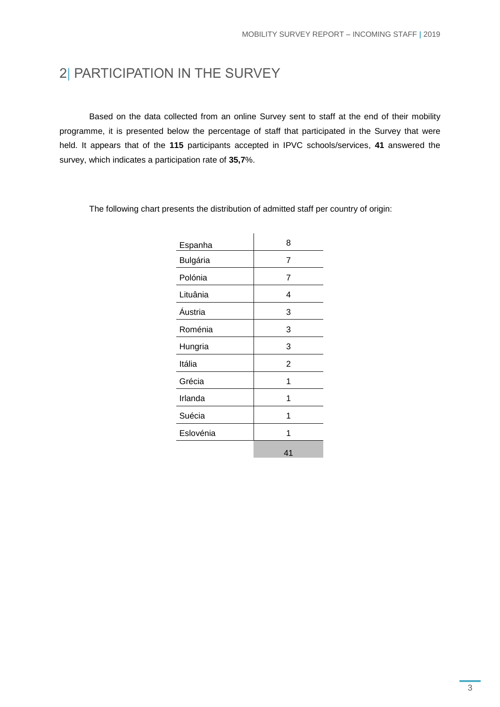## <span id="page-3-0"></span>2| PARTICIPATION IN THE SURVEY

Based on the data collected from an online Survey sent to staff at the end of their mobility programme, it is presented below the percentage of staff that participated in the Survey that were held. It appears that of the **115** participants accepted in IPVC schools/services, **41** answered the survey, which indicates a participation rate of **35,7**%.

|           | 8              |
|-----------|----------------|
| Espanha   |                |
| Bulgária  | $\overline{7}$ |
| Polónia   | 7              |
| Lituânia  | 4              |
| Áustria   | 3              |
| Roménia   | 3              |
| Hungria   | 3              |
| Itália    | 2              |
| Grécia    | 1              |
| Irlanda   | 1              |
| Suécia    | 1              |
| Eslovénia | 1              |
|           | 41             |

The following chart presents the distribution of admitted staff per country of origin: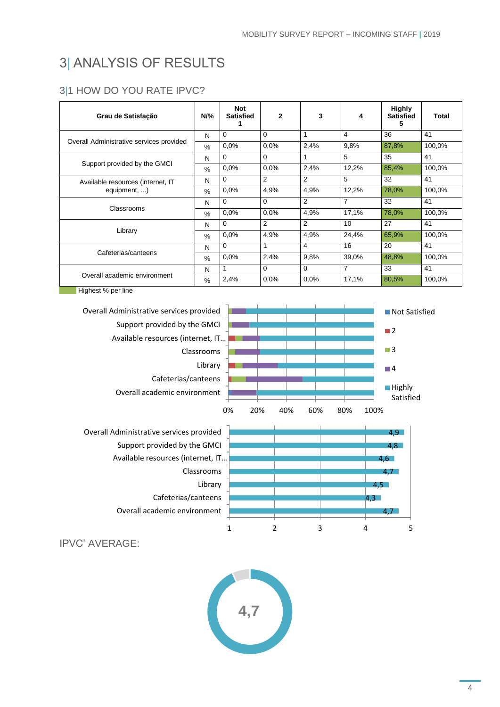# <span id="page-4-0"></span>3| ANALYSIS OF RESULTS

#### <span id="page-4-1"></span>3|1 HOW DO YOU RATE IPVC?

| Grau de Satisfação                       | $N\%$         | <b>Not</b><br><b>Satisfied</b> | $\mathbf{2}$   | 3              | 4     | <b>Highly</b><br><b>Satisfied</b><br>5 | Total  |
|------------------------------------------|---------------|--------------------------------|----------------|----------------|-------|----------------------------------------|--------|
|                                          | N             | $\Omega$                       | 0              |                | 4     | 36                                     | 41     |
| Overall Administrative services provided | $\%$          | 0.0%                           | 0.0%           | 2,4%           | 9,8%  | 87,8%                                  | 100,0% |
|                                          | N             | 0                              | $\Omega$       |                | 5     | 35                                     | 41     |
| Support provided by the GMCI             | $\frac{0}{0}$ | 0.0%                           | 0,0%           | 2,4%           | 12,2% | 85,4%                                  | 100,0% |
| Available resources (internet, IT        | N             | 0                              | $\overline{2}$ | $\overline{2}$ | 5     | 32                                     | 41     |
| equipment, )                             | $\%$          | 0.0%                           | 4,9%           | 4,9%           | 12,2% | 78,0%                                  | 100,0% |
|                                          | N             | $\Omega$                       | 0              | $\overline{2}$ | 7     | 32                                     | 41     |
| Classrooms                               | $\%$          | 0.0%                           | 0,0%           | 4,9%           | 17,1% | 78,0%                                  | 100,0% |
|                                          | N             | 0                              | 2              | 2              | 10    | 27                                     | 41     |
| Library                                  | $\%$          | 0.0%                           | 4,9%           | 4,9%           | 24,4% | 65,9%                                  | 100,0% |
|                                          | N             | 0                              |                | 4              | 16    | 20                                     | 41     |
| Cafeterias/canteens                      | $\frac{0}{0}$ | $0.0\%$                        | 2,4%           | 9,8%           | 39,0% | 48,8%                                  | 100,0% |
|                                          | N             |                                | 0              | $\Omega$       | 7     | 33                                     | 41     |
| Overall academic environment             | $\%$          | 2,4%                           | 0.0%           | 0.0%           | 17,1% | 80,5%                                  | 100,0% |

**Highest % per line** 



IPVC' AVERAGE:

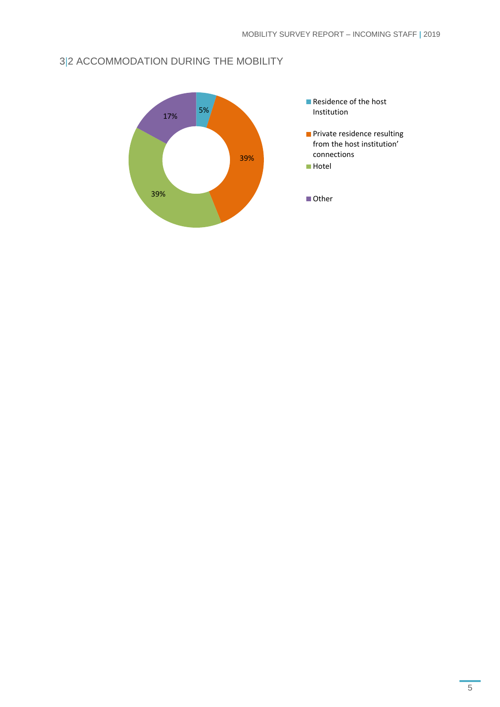#### <span id="page-5-0"></span>3|2 ACCOMMODATION DURING THE MOBILITY

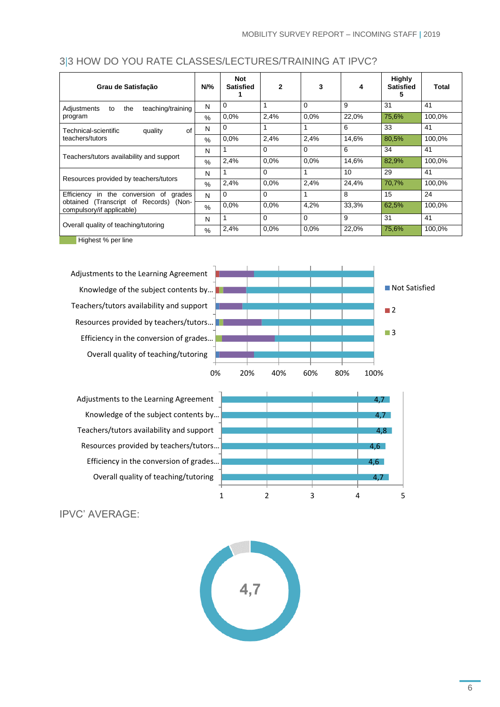#### <span id="page-6-0"></span>3|3 HOW DO YOU RATE CLASSES/LECTURES/TRAINING AT IPVC?

| Grau de Satisfação                                                                                                  | $N\%$ | <b>Not</b><br><b>Satisfied</b> | $\mathbf{2}$ | 3        | 4     | <b>Highly</b><br><b>Satisfied</b><br>e. | Total  |
|---------------------------------------------------------------------------------------------------------------------|-------|--------------------------------|--------------|----------|-------|-----------------------------------------|--------|
| teaching/training<br>the<br>Adjustments<br>to                                                                       | N     | $\Omega$                       |              | $\Omega$ | 9     | 31                                      | 41     |
| program                                                                                                             | $\%$  | 0.0%                           | 2,4%         | 0.0%     | 22,0% | 75,6%                                   | 100,0% |
| of<br>Technical-scientific<br>quality                                                                               | N     | $\Omega$                       |              |          | 6     | 33                                      | 41     |
| teachers/tutors                                                                                                     | $\%$  | 0.0%                           | 2,4%         | 2,4%     | 14,6% | 80,5%                                   | 100,0% |
| Teachers/tutors availability and support                                                                            |       |                                | 0            | 0        | 6     | 34                                      | 41     |
|                                                                                                                     |       | 2,4%                           | 0.0%         | 0.0%     | 14.6% | 82,9%                                   | 100,0% |
|                                                                                                                     | N     |                                | 0            |          | 10    | 29                                      | 41     |
| Resources provided by teachers/tutors                                                                               |       | 2,4%                           | 0.0%         | 2,4%     | 24,4% | 70,7%                                   | 100,0% |
| Efficiency<br>in the conversion of<br>grades<br>obtained (Transcript of Records) (Non-<br>compulsory/if applicable) |       | $\Omega$                       | 0            |          | 8     | 15                                      | 24     |
|                                                                                                                     |       | 0.0%                           | 0.0%         | 4,2%     | 33,3% | 62,5%                                   | 100,0% |
|                                                                                                                     | N     |                                | 0            | $\Omega$ | 9     | 31                                      | 41     |
| Overall quality of teaching/tutoring                                                                                |       | 2,4%                           | 0.0%         | 0.0%     | 22,0% | 75,6%                                   | 100,0% |

**Highest % per line** 

Adjustments to the Learning Agreement Knowledge of the subject contents by… Teachers/tutors availability and support Resources provided by teachers/tutors … Efficiency in the conversion of grades… Overall quality of teaching/tutoring



Adjustments to the Learning Agreement Knowledge of the subject contents by… Teachers/tutors availability and support Resources provided by teachers/tutors … Efficiency in the conversion of grades… Overall quality of teaching/tutoring



IPVC' AVERAGE:

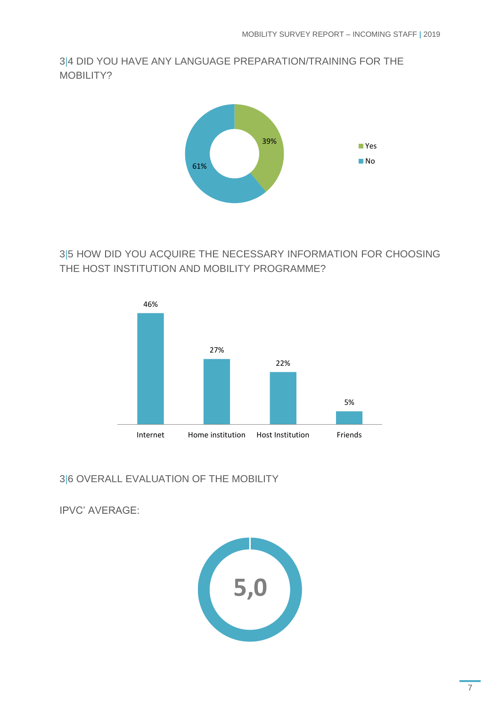<span id="page-7-0"></span>3|4 DID YOU HAVE ANY LANGUAGE PREPARATION/TRAINING FOR THE MOBILITY?



<span id="page-7-1"></span>3|5 HOW DID YOU ACQUIRE THE NECESSARY INFORMATION FOR CHOOSING THE HOST INSTITUTION AND MOBILITY PROGRAMME?



<span id="page-7-2"></span>3|6 OVERALL EVALUATION OF THE MOBILITY

IPVC' AVERAGE:

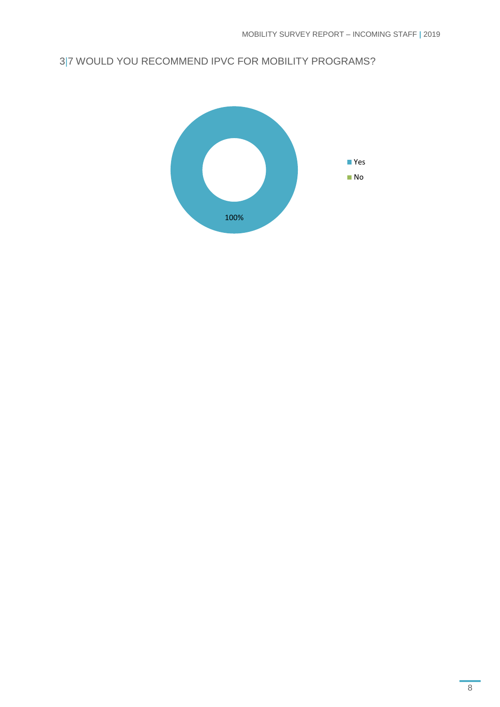#### <span id="page-8-0"></span>3|7 WOULD YOU RECOMMEND IPVC FOR MOBILITY PROGRAMS?

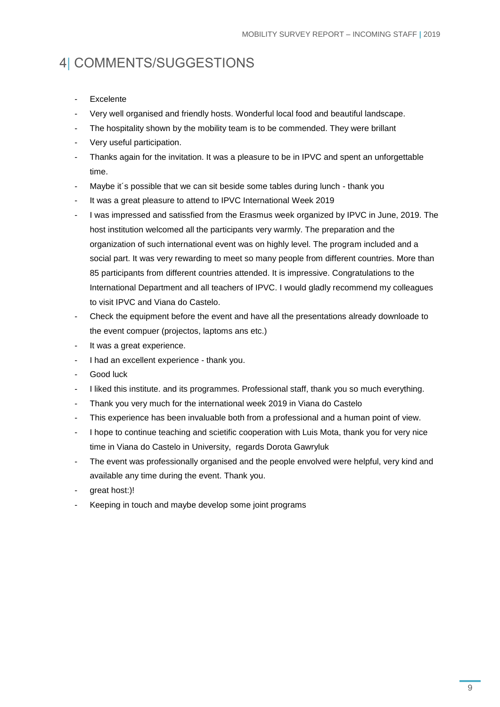# <span id="page-9-0"></span>4| COMMENTS/SUGGESTIONS

- **Excelente**
- Very well organised and friendly hosts. Wonderful local food and beautiful landscape.
- The hospitality shown by the mobility team is to be commended. They were brillant
- Very useful participation.
- Thanks again for the invitation. It was a pleasure to be in IPVC and spent an unforgettable time.
- Maybe it´s possible that we can sit beside some tables during lunch thank you
- It was a great pleasure to attend to IPVC International Week 2019
- I was impressed and satissfied from the Erasmus week organized by IPVC in June, 2019. The host institution welcomed all the participants very warmly. The preparation and the organization of such international event was on highly level. The program included and a social part. It was very rewarding to meet so many people from different countries. More than 85 participants from different countries attended. It is impressive. Congratulations to the International Department and all teachers of IPVC. I would gladly recommend my colleagues to visit IPVC and Viana do Castelo.
- Check the equipment before the event and have all the presentations already downloade to the event compuer (projectos, laptoms ans etc.)
- It was a great experience.
- I had an excellent experience thank you.
- Good luck
- I liked this institute. and its programmes. Professional staff, thank you so much everything.
- Thank you very much for the international week 2019 in Viana do Castelo
- This experience has been invaluable both from a professional and a human point of view.
- I hope to continue teaching and scietific cooperation with Luis Mota, thank you for very nice time in Viana do Castelo in University, regards Dorota Gawryluk
- The event was professionally organised and the people envolved were helpful, very kind and available any time during the event. Thank you.
- great host:)!
- Keeping in touch and maybe develop some joint programs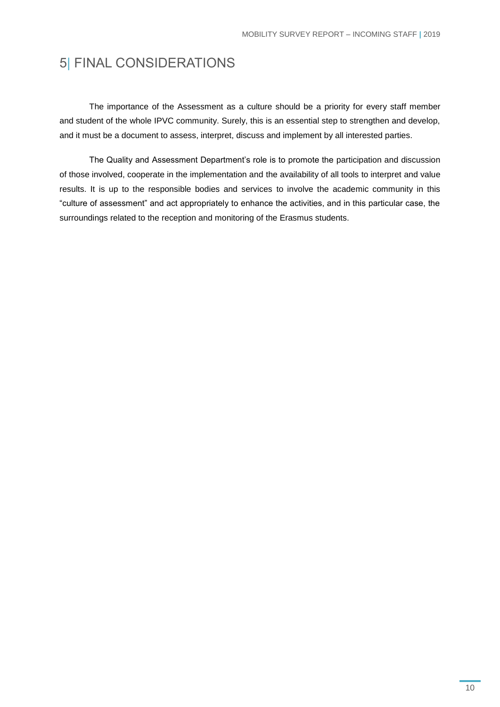# <span id="page-10-0"></span>5| FINAL CONSIDERATIONS

The importance of the Assessment as a culture should be a priority for every staff member and student of the whole IPVC community. Surely, this is an essential step to strengthen and develop, and it must be a document to assess, interpret, discuss and implement by all interested parties.

The Quality and Assessment Department's role is to promote the participation and discussion of those involved, cooperate in the implementation and the availability of all tools to interpret and value results. It is up to the responsible bodies and services to involve the academic community in this "culture of assessment" and act appropriately to enhance the activities, and in this particular case, the surroundings related to the reception and monitoring of the Erasmus students.